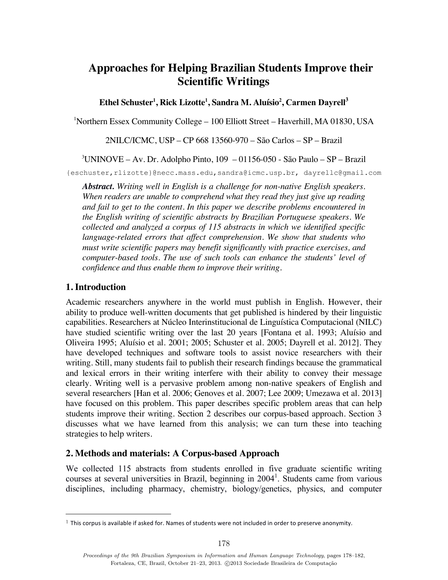# **Approaches for Helping Brazilian Students Improve their Scientific Writings**

 ${\bf E}$ thel Schuster<sup>1</sup>, Rick Lizotte<sup>1</sup>, Sandra M. Aluísio<sup>2</sup>, Carmen Dayrell $^3$ 

1 Northern Essex Community College – 100 Elliott Street – Haverhill, MA 01830, USA

2NILC/ICMC, USP – CP 668 13560-970 – São Carlos – SP – Brazil

3 UNINOVE – Av. Dr. Adolpho Pinto, 109 – 01156-050 - São Paulo – SP – Brazil

{eschuster,rlizotte}@necc.mass.edu,sandra@icmc.usp.br, dayrellc@gmail.com

*Abstract. Writing well in English is a challenge for non-native English speakers. When readers are unable to comprehend what they read they just give up reading and fail to get to the content. In this paper we describe problems encountered in the English writing of scientific abstracts by Brazilian Portuguese speakers. We collected and analyzed a corpus of 115 abstracts in which we identified specific language-related errors that affect comprehension. We show that students who must write scientific papers may benefit significantly with practice exercises, and computer-based tools. The use of such tools can enhance the students' level of confidence and thus enable them to improve their writing.*

# **1. Introduction**

Academic researchers anywhere in the world must publish in English. However, their ability to produce well-written documents that get published is hindered by their linguistic capabilities. Researchers at Núcleo Interinstitucional de Linguística Computacional (NILC) have studied scientific writing over the last 20 years [Fontana et al. 1993; Aluísio and Oliveira 1995; Aluísio et al. 2001; 2005; Schuster et al. 2005; Dayrell et al. 2012]. They have developed techniques and software tools to assist novice researchers with their writing. Still, many students fail to publish their research findings because the grammatical and lexical errors in their writing interfere with their ability to convey their message clearly. Writing well is a pervasive problem among non-native speakers of English and several researchers [Han et al. 2006; Genoves et al. 2007; Lee 2009; Umezawa et al. 2013] have focused on this problem. This paper describes specific problem areas that can help students improve their writing. Section 2 describes our corpus-based approach. Section 3 discusses what we have learned from this analysis; we can turn these into teaching strategies to help writers.

# **2. Methods and materials: A Corpus-based Approach**

We collected 115 abstracts from students enrolled in five graduate scientific writing courses at several universities in Brazil, beginning in  $2004<sup>1</sup>$ . Students came from various disciplines, including pharmacy, chemistry, biology/genetics, physics, and computer

<sup>&</sup>lt;sup>1</sup> This corpus is available if asked for. Names of students were not included in order to preserve anonymity.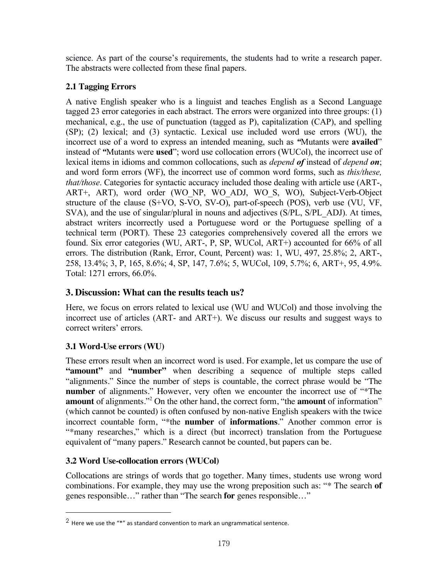science. As part of the course's requirements, the students had to write a research paper. The abstracts were collected from these final papers.

# **2.1 Tagging Errors**

A native English speaker who is a linguist and teaches English as a Second Language tagged 23 error categories in each abstract. The errors were organized into three groups: (1) mechanical, e.g., the use of punctuation (tagged as P), capitalization (CAP), and spelling (SP); (2) lexical; and (3) syntactic. Lexical use included word use errors (WU), the incorrect use of a word to express an intended meaning, such as *"*Mutants were **availed**" instead of *"*Mutants were **used**"; word use collocation errors (WUCol), the incorrect use of lexical items in idioms and common collocations, such as *depend of* instead of *depend on*; and word form errors (WF), the incorrect use of common word forms, such as *this/these, that/those*. Categories for syntactic accuracy included those dealing with article use (ART-, ART+, ART), word order (WO\_NP, WO\_ADJ, WO\_S, WO), Subject-Verb-Object structure of the clause (S+VO, S-VO, SV-O), part-of-speech (POS), verb use (VU, VF, SVA), and the use of singular/plural in nouns and adjectives (S/PL, S/PL ADJ). At times, abstract writers incorrectly used a Portuguese word or the Portuguese spelling of a technical term (PORT). These 23 categories comprehensively covered all the errors we found. Six error categories (WU, ART-, P, SP, WUCol, ART+) accounted for 66% of all errors. The distribution (Rank, Error, Count, Percent) was: 1, WU, 497, 25.8%; 2, ART-, 258, 13.4%; 3, P, 165, 8.6%; 4, SP, 147, 7.6%; 5, WUCol, 109, 5.7%; 6, ART+, 95, 4.9%. Total: 1271 errors, 66.0%.

# **3. Discussion: What can the results teach us?**

Here, we focus on errors related to lexical use (WU and WUCol) and those involving the incorrect use of articles (ART- and ART+). We discuss our results and suggest ways to correct writers' errors.

# **3.1 Word-Use errors (WU)**

These errors result when an incorrect word is used. For example, let us compare the use of "**amount"** and "number" when describing a sequence of multiple steps called "alignments." Since the number of steps is countable, the correct phrase would be "The **number** of alignments." However, very often we encounter the incorrect use of "\*The **amount** of alignments."2 On the other hand, the correct form, "the **amount** of information" (which cannot be counted) is often confused by non-native English speakers with the twice incorrect countable form, "\*the **number** of **informations**." Another common error is "\*many researches," which is a direct (but incorrect) translation from the Portuguese equivalent of "many papers." Research cannot be counted, but papers can be.

# **3.2 Word Use-collocation errors (WUCol)**

Collocations are strings of words that go together. Many times, students use wrong word combinations. For example, they may use the wrong preposition such as: "\* The search **of** genes responsible…" rather than "The search **for** genes responsible…"

<sup>&</sup>lt;sup>2</sup> Here we use the "\*" as standard convention to mark an ungrammatical sentence.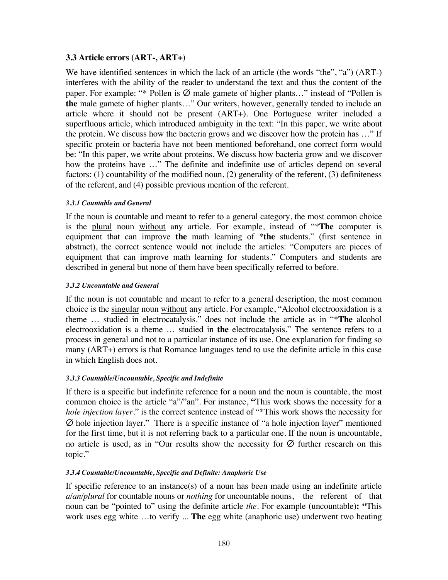### **3.3 Article errors (ART-, ART+)**

We have identified sentences in which the lack of an article (the words "the", "a") (ART-) interferes with the ability of the reader to understand the text and thus the content of the paper. For example: "\* Pollen is  $\emptyset$  male gamete of higher plants..." instead of "Pollen is **the** male gamete of higher plants…" Our writers, however, generally tended to include an article where it should not be present (ART+). One Portuguese writer included a superfluous article, which introduced ambiguity in the text: "In this paper, we write about the protein. We discuss how the bacteria grows and we discover how the protein has …" If specific protein or bacteria have not been mentioned beforehand, one correct form would be: "In this paper, we write about proteins. We discuss how bacteria grow and we discover how the proteins have …" The definite and indefinite use of articles depend on several factors: (1) countability of the modified noun, (2) generality of the referent, (3) definiteness of the referent, and (4) possible previous mention of the referent.

#### *3.3.1 Countable and General*

If the noun is countable and meant to refer to a general category, the most common choice is the plural noun without any article. For example, instead of "\***The** computer is equipment that can improve **the** math learning of \***the** students." (first sentence in abstract), the correct sentence would not include the articles: "Computers are pieces of equipment that can improve math learning for students." Computers and students are described in general but none of them have been specifically referred to before.

#### *3.3.2 Uncountable and General*

If the noun is not countable and meant to refer to a general description, the most common choice is the singular noun without any article. For example, "Alcohol electrooxidation is a theme … studied in electrocatalysis." does not include the article as in "\***The** alcohol electrooxidation is a theme … studied in **the** electrocatalysis." The sentence refers to a process in general and not to a particular instance of its use. One explanation for finding so many (ART+) errors is that Romance languages tend to use the definite article in this case in which English does not.

### *3.3.3 Countable/Uncountable, Specific and Indefinite*

If there is a specific but indefinite reference for a noun and the noun is countable, the most common choice is the article "a"/"an". For instance, **"**This work shows the necessity for **a** *hole injection layer*." is the correct sentence instead of "\*This work shows the necessity for Ø hole injection layer." There is a specific instance of "a hole injection layer" mentioned for the first time, but it is not referring back to a particular one. If the noun is uncountable, no article is used, as in "Our results show the necessity for  $\varnothing$  further research on this topic."

### *3.3.4 Countable/Uncountable, Specific and Definite: Anaphoric Use*

If specific reference to an instance(s) of a noun has been made using an indefinite article *a/an/plural* for countable nouns or *nothing* for uncountable nouns, the referent of that noun can be "pointed to" using the definite article *the*. For example (uncountable)**: "**This work uses egg white …to verify ... **The** egg white (anaphoric use) underwent two heating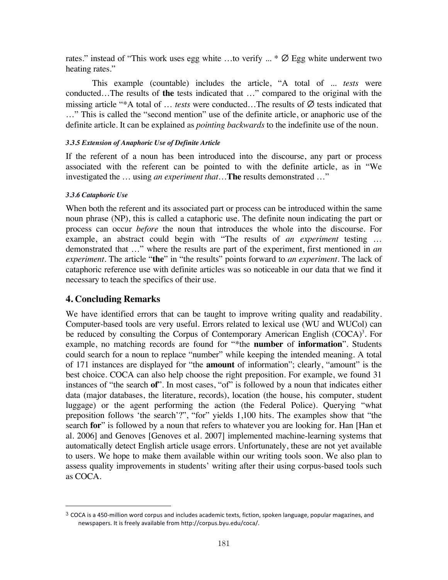rates." instead of "This work uses egg white ...to verify  $\ldots$  \*  $\varnothing$  Egg white underwent two heating rates."

This example (countable) includes the article, "A total of ... *tests* were conducted…The results of **the** tests indicated that …" compared to the original with the missing article "\*A total of … *tests* were conducted…The results of Ø tests indicated that …" This is called the "second mention" use of the definite article, or anaphoric use of the definite article. It can be explained as *pointing backwards* to the indefinite use of the noun.

#### *3.3.5 Extension of Anaphoric Use of Definite Article*

If the referent of a noun has been introduced into the discourse, any part or process associated with the referent can be pointed to with the definite article, as in "We investigated the … using *an experiment that*…**The** results demonstrated …"

#### *3.3.6 Cataphoric Use*

When both the referent and its associated part or process can be introduced within the same noun phrase (NP), this is called a cataphoric use. The definite noun indicating the part or process can occur *before* the noun that introduces the whole into the discourse. For example, an abstract could begin with "The results of *an experiment* testing … demonstrated that …" where the results are part of the experiment, first mentioned in *an experiment.* The article "**the**" in "the results" points forward to *an experiment.* The lack of cataphoric reference use with definite articles was so noticeable in our data that we find it necessary to teach the specifics of their use.

# **4. Concluding Remarks**

We have identified errors that can be taught to improve writing quality and readability. Computer-based tools are very useful. Errors related to lexical use (WU and WUCol) can be reduced by consulting the Corpus of Contemporary American English  $(COCA)^3$ . For example, no matching records are found for "\*the **number** of **information**". Students could search for a noun to replace "number" while keeping the intended meaning. A total of 171 instances are displayed for "the **amount** of information"; clearly, "amount" is the best choice. COCA can also help choose the right preposition. For example, we found 31 instances of "the search **of**". In most cases, "of" is followed by a noun that indicates either data (major databases, the literature, records), location (the house, his computer, student luggage) or the agent performing the action (the Federal Police). Querying "what preposition follows 'the search'?", "for" yields 1,100 hits. The examples show that "the search **for**" is followed by a noun that refers to whatever you are looking for. Han [Han et al. 2006] and Genoves [Genoves et al. 2007] implemented machine-learning systems that automatically detect English article usage errors. Unfortunately, these are not yet available to users. We hope to make them available within our writing tools soon. We also plan to assess quality improvements in students' writing after their using corpus-based tools such as COCA.

 $3$  COCA is a 450-million word corpus and includes academic texts, fiction, spoken language, popular magazines, and newspapers. It is freely available from http://corpus.byu.edu/coca/.